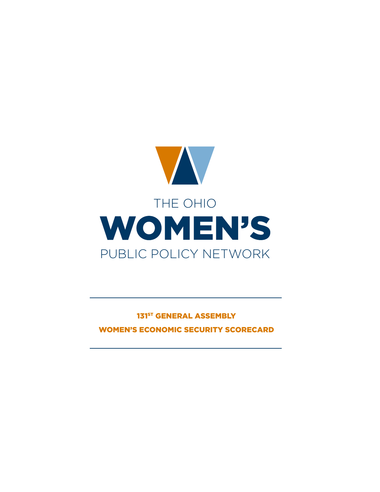

# 131<sup>ST</sup> GENERAL ASSEMBLY WOMEN'S ECONOMIC SECURITY SCORECARD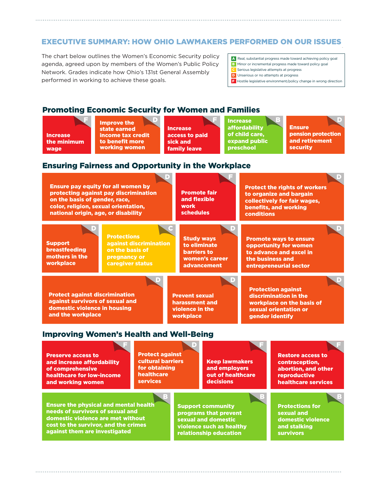# **EXECUTIVE SUMMARY: HOW OHIO LAWMAKERS PERFORMED ON OUR ISSUES** WOMENT ON OUR LECTIFY

The chart below outlines the Women's Economic Security policy performed in working to achieve these goals. agenda, agreed upon by members of the Women's Public Policy Network. Grades indicate how Ohio's 131st General Assembly

- A Real, substantial progress made toward achieving policy goal
- $\overline{\mathsf{HCV}}$  **B** Minor or incremental progress made toward policy goal
- **C** Serious legislative attempts at progress
- **D** Unserious or no attempts at progress  $\begin{array}{|l|} \hline \textbf{F} & \text{Hostile } \text{legis} \end{array}$  environment/policy change in wrong direction

#### Promoting Economic Security for Women and Families Increase urity for Women and Families: state earned and Consultant for Western and Fourillor.

Increase the minimum wage

Improve the state earned income tax credit **EXECUTE TO benefit more EXECUTE SIGN AND SIGN AND SERVICE SIGNAL STATE EXECUTE SIGNAL STATE** working women **improve** t to benefit more

on the basis of gender, race,

**Increase** access to paid sick and family leave access to paid sick and family leave income tax credit tax credit tax credit tax credit tax contracts to determine the contracts of the contracts of

Increase nicrease<br>affordability of child care, expand public preschool F D F B D D D of child care, printy

and flexible

Ensure **Security** pension protection and retirement security and retirement

pension protection

collectively for fair wages,

D

#### **Ensuring Fairness and Opportunity in the Workplace** Ensure pay equity for all women by ess and Opportunity in



needs of survivors of sexual and domestic violence are met without cost to the survivor, and the crimes against them are investigated

programs that prevent sexual and domestic violence such as healthy relationship education

sexual and domestic violence and stalking survivors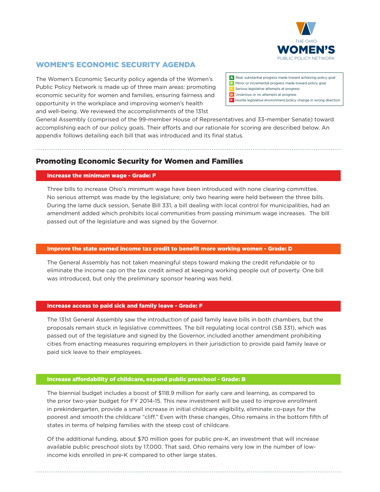

D

# WOMEN'S ECONOMIC SECURITY AGENDA

The Women's Economic Security policy agenda of the Women's Public Policy Network is made up of three main areas: promoting economic security for women and families, ensuring fairness and opportunity in the workplace and improving women's health and well-being. We reviewed the accomplishments of the 131st

A Real, substantial progress made toward achieving policy goal B Minor or incremental progress made toward policy goal

Protect the rights of workers

. . . . . . . . . .

domestic violence

survivors de la construction de la construction de la construction de la construction de la construction de la

- Serious legislative attempts at progress
- Unserious or no attempts at progress

preschool

F D F F

relationship education

F Hostile legislative environment/policy change in wrong direction

General Assembly (comprised of the 99-member House of Representatives and 33-member Senate) toward accomplishing each of our policy goals. Their efforts and our rationale for scoring are described below. An appendix follows detailing each bill that was introduced and its final status. alling each bill that was introduced and its final st , goals. Their efforts and our rationale for scoring are described below. An state earned idt was introdu

# Promoting Economic Security for Women and Families

. . . . . . . . . . . . . . . . . . .

#### Increase the minimum wage - Grade: F Ensure pay equity for all women by

wage

Three bills to increase Ohio's minimum wage have been introduced with none clearing committee. No serious attempt was made by the legislature; only two hearing were held between the three bills. During the lame duck session, Senate Bill 331, a bill dealing with local control for municipalities, had an amendment added which prohibits local communities from passing minimum wage increases. The bill passed out of the legislature and was signed by the Governor. troduced with none clearing committee.  $\epsilon$  creating committee. protecting against pay discrimination dse Onio's minimum wa

D D

family leave

# lmprove the state earned income tax credit to benefit more working women - Grade: D

The General Assembly has not taken meaningful steps toward making the credit refundable or to eliminate the income cap on the tax credit aimed at keeping working people out of poverty. One bill was introduced, but only the preliminary sponsor hearing was held. ut only the preliminary sponsor hearing was held. via video in the internet.  $\mathbb{R}^n$ ut of poverty. One

# Increase access to paid sick and family leave - Grade:  $\overline{\mathsf{F}}$

The 131st General Assembly saw the introduction of paid family leave bills in both chambers, but the proposals remain stuck in legislative committees. The bill regulating local control (SB 331), which was .<br>passed out of the legislature and signed by the Governor, included another amendment prohibiting cities from enacting measures requiring employers in their jurisdiction to provide paid family leave or paid sick leave to their employees.  $\epsilon$  legislature and signed by the Goverr food: The long<br>. ha local control (SB 331), which wa and employers a another amer abortion, and other r bronnpirin*é* 

#### Increase affordability of childcare, expand public preschool - Grade: B bility of childcare, expand public preschool - Grade: B domestic violence are met without

against them are investigated

The biennial budget includes a boost of \$118.9 million for early care and learning, as compared to the prior two-year budget for FY 2014-15. This new investment will be used to improve enrollment in prekindergarten, provide a small increase in initial childcare eligibility, eliminate co-pays for the poorest and smooth the childcare "clif." Even with these changes, Ohio remains in the bottom fifth of states in terms of helping families with the steep cost of childcare.

Of the additional funding, about \$70 million goes for public pre-K, an investment that will increase available public preschool slots by 17,000. That said, Ohio remains very low in the number of lowincome kids enrolled in pre-K compared to other large states.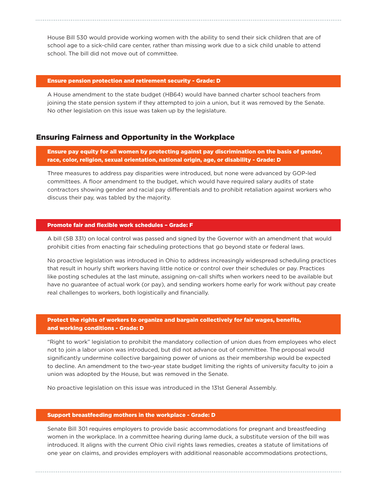House Bill 530 would provide working women with the ability to send their sick children that are of school age to a sick-child care center, rather than missing work due to a sick child unable to attend school. The bill did not move out of committee.

#### Ensure pension protection and retirement security - Grade: D

A House amendment to the state budget (HB64) would have banned charter school teachers from joining the state pension system if they attempted to join a union, but it was removed by the Senate. No other legislation on this issue was taken up by the legislature.

# Ensuring Fairness and Opportunity in the Workplace

Ensure pay equity for all women by protecting against pay discrimination on the basis of gender, race, color, religion, sexual orientation, national origin, age, or disability - Grade: D

Three measures to address pay disparities were introduced, but none were advanced by GOP-led committees. A floor amendment to the budget, which would have required salary audits of state contractors showing gender and racial pay diferentials and to prohibit retaliation against workers who discuss their pay, was tabled by the majority.

### Promote fair and flexible work schedules – Grade: F

A bill (SB 331) on local control was passed and signed by the Governor with an amendment that would prohibit cities from enacting fair scheduling protections that go beyond state or federal laws.

No proactive legislation was introduced in Ohio to address increasingly widespread scheduling practices that result in hourly shift workers having little notice or control over their schedules or pay. Practices like posting schedules at the last minute, assigning on-call shifts when workers need to be available but have no guarantee of actual work (or pay), and sending workers home early for work without pay create real challenges to workers, both logistically and financially.

## Protect the rights of workers to organize and bargain collectively for fair wages, benefits, and working conditions - Grade: D

"Right to work" legislation to prohibit the mandatory collection of union dues from employees who elect not to join a labor union was introduced, but did not advance out of committee. The proposal would significantly undermine collective bargaining power of unions as their membership would be expected to decline. An amendment to the two-year state budget limiting the rights of university faculty to join a union was adopted by the House, but was removed in the Senate.

No proactive legislation on this issue was introduced in the 131st General Assembly.

### Support breastfeeding mothers in the workplace - Grade: D

Senate Bill 301 requires employers to provide basic accommodations for pregnant and breastfeeding women in the workplace. In a committee hearing during lame duck, a substitute version of the bill was introduced. It aligns with the current Ohio civil rights laws remedies, creates a statute of limitations of one year on claims, and provides employers with additional reasonable accommodations protections,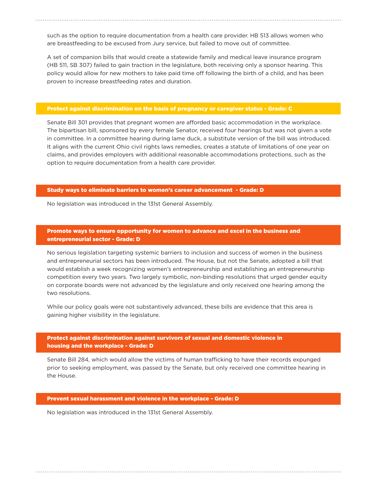such as the option to require documentation from a health care provider. HB 513 allows women who are breastfeeding to be excused from Jury service, but failed to move out of committee.

A set of companion bills that would create a statewide family and medical leave insurance program (HB 511, SB 307) failed to gain traction in the legislature, both receiving only a sponsor hearing. This policy would allow for new mothers to take paid time off following the birth of a child, and has been proven to increase breastfeeding rates and duration.

### Protect against discrimination on the basis of pregnancy or caregiver status - Grade: C

Senate Bill 301 provides that pregnant women are aforded basic accommodation in the workplace. The bipartisan bill, sponsored by every female Senator, received four hearings but was not given a vote in committee. In a committee hearing during lame duck, a substitute version of the bill was introduced. It aligns with the current Ohio civil rights laws remedies, creates a statute of limitations of one year on claims, and provides employers with additional reasonable accommodations protections, such as the option to require documentation from a health care provider.

### Study ways to eliminate barriers to women's career advancement - Grade: D

No legislation was introduced in the 131st General Assembly.

### Promote ways to ensure opportunity for women to advance and excel in the business and entrepreneurial sector - Grade: D

No serious legislation targeting systemic barriers to inclusion and success of women in the business and entrepreneurial sectors has been introduced. The House, but not the Senate, adopted a bill that would establish a week recognizing women's entrepreneurship and establishing an entrepreneurship competition every two years. Two largely symbolic, non-binding resolutions that urged gender equity on corporate boards were not advanced by the legislature and only received one hearing among the two resolutions.

While our policy goals were not substantively advanced, these bills are evidence that this area is gaining higher visibility in the legislature.

### Protect against discrimination against survivors of sexual and domestic violence in housing and the workplace - Grade: D

Senate Bill 284, which would allow the victims of human trafficking to have their records expunged prior to seeking employment, was passed by the Senate, but only received one committee hearing in the House.

#### Prevent sexual harassment and violence in the workplace - Grade: D

No legislation was introduced in the 131st General Assembly.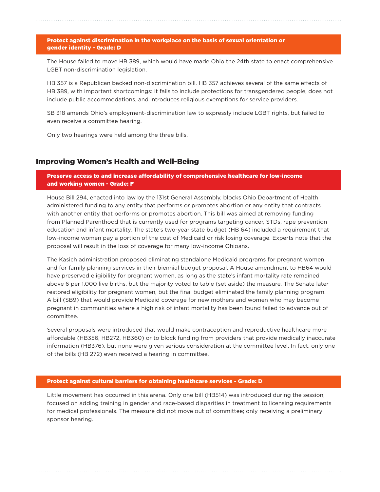### Protect against discrimination in the workplace on the basis of sexual orientation or gender identity - Grade: D

The House failed to move HB 389, which would have made Ohio the 24th state to enact comprehensive LGBT non-discrimination legislation.

HB 357 is a Republican backed non-discrimination bill. HB 357 achieves several of the same efects of HB 389, with important shortcomings: it fails to include protections for transgendered people, does not include public accommodations, and introduces religious exemptions for service providers.

SB 318 amends Ohio's employment-discrimination law to expressly include LGBT rights, but failed to even receive a committee hearing.

Only two hearings were held among the three bills.

# Improving Women's Health and Well-Being

Preserve access to and increase affordability of comprehensive healthcare for low-income and working women - Grade: F

House Bill 294, enacted into law by the 131st General Assembly, blocks Ohio Department of Health administered funding to any entity that performs or promotes abortion or any entity that contracts with another entity that performs or promotes abortion. This bill was aimed at removing funding from Planned Parenthood that is currently used for programs targeting cancer, STDs, rape prevention education and infant mortality. The state's two-year state budget (HB 64) included a requirement that low-income women pay a portion of the cost of Medicaid or risk losing coverage. Experts note that the proposal will result in the loss of coverage for many low-income Ohioans.

The Kasich administration proposed eliminating standalone Medicaid programs for pregnant women and for family planning services in their biennial budget proposal. A House amendment to HB64 would have preserved eligibility for pregnant women, as long as the state's infant mortality rate remained above 6 per 1,000 live births, but the majority voted to table (set aside) the measure. The Senate later restored eligibility for pregnant women, but the final budget eliminated the family planning program. A bill (SB9) that would provide Medicaid coverage for new mothers and women who may become pregnant in communities where a high risk of infant mortality has been found failed to advance out of committee.

Several proposals were introduced that would make contraception and reproductive healthcare more afordable (HB356, HB272, HB360) or to block funding from providers that provide medically inaccurate information (HB376), but none were given serious consideration at the committee level. In fact, only one of the bills (HB 272) even received a hearing in committee.

### Protect against cultural barriers for obtaining healthcare services - Grade: D

Little movement has occurred in this arena. Only one bill (HB514) was introduced during the session, focused on adding training in gender and race-based disparities in treatment to licensing requirements for medical professionals. The measure did not move out of committee; only receiving a preliminary sponsor hearing.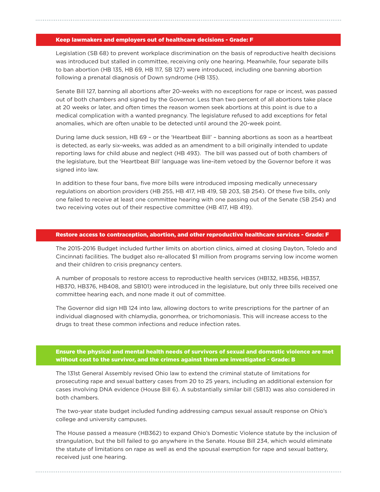# Keep lawmakers and employers out of healthcare decisions - Grade: F

Legislation (SB 68) to prevent workplace discrimination on the basis of reproductive health decisions was introduced but stalled in committee, receiving only one hearing. Meanwhile, four separate bills to ban abortion (HB 135, HB 69, HB 117, SB 127) were introduced, including one banning abortion following a prenatal diagnosis of Down syndrome (HB 135).

Senate Bill 127, banning all abortions after 20-weeks with no exceptions for rape or incest, was passed out of both chambers and signed by the Governor. Less than two percent of all abortions take place at 20 weeks or later, and often times the reason women seek abortions at this point is due to a medical complication with a wanted pregnancy. The legislature refused to add exceptions for fetal anomalies, which are often unable to be detected until around the 20-week point.

During lame duck session, HB 69 – or the 'Heartbeat Bill' – banning abortions as soon as a heartbeat is detected, as early six-weeks, was added as an amendment to a bill originally intended to update reporting laws for child abuse and neglect (HB 493). The bill was passed out of both chambers of the legislature, but the 'Heartbeat Bill' language was line-item vetoed by the Governor before it was signed into law.

In addition to these four bans, five more bills were introduced imposing medically unnecessary regulations on abortion providers (HB 255, HB 417, HB 419, SB 203, SB 254). Of these five bills, only one failed to receive at least one committee hearing with one passing out of the Senate (SB 254) and two receiving votes out of their respective committee (HB 417, HB 419).

### Restore access to contraception, abortion, and other reproductive healthcare services - Grade: F

The 2015-2016 Budget included further limits on abortion clinics, aimed at closing Dayton, Toledo and Cincinnati facilities. The budget also re-allocated \$1 million from programs serving low income women and their children to crisis pregnancy centers.

A number of proposals to restore access to reproductive health services (HB132, HB356, HB357, HB370, HB376, HB408, and SB101) were introduced in the legislature, but only three bills received one committee hearing each, and none made it out of committee.

The Governor did sign HB 124 into law, allowing doctors to write prescriptions for the partner of an individual diagnosed with chlamydia, gonorrhea, or trichomoniasis. This will increase access to the drugs to treat these common infections and reduce infection rates.

# Ensure the physical and mental health needs of survivors of sexual and domestic violence are met without cost to the survivor, and the crimes against them are investigated - Grade: B

The 131st General Assembly revised Ohio law to extend the criminal statute of limitations for prosecuting rape and sexual battery cases from 20 to 25 years, including an additional extension for cases involving DNA evidence (House Bill 6). A substantially similar bill (SB13) was also considered in both chambers.

The two-year state budget included funding addressing campus sexual assault response on Ohio's college and university campuses.

The House passed a measure (HB362) to expand Ohio's Domestic Violence statute by the inclusion of strangulation, but the bill failed to go anywhere in the Senate. House Bill 234, which would eliminate the statute of limitations on rape as well as end the spousal exemption for rape and sexual battery, received just one hearing.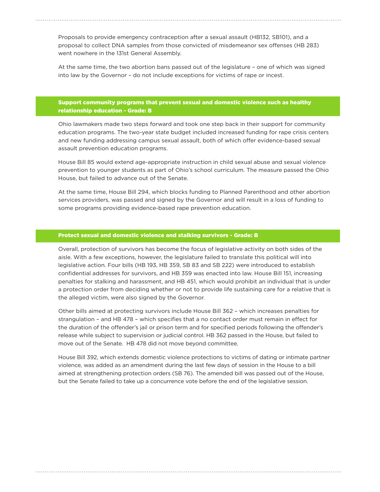Proposals to provide emergency contraception after a sexual assault (HB132, SB101), and a proposal to collect DNA samples from those convicted of misdemeanor sex ofenses (HB 283) went nowhere in the 131st General Assembly.

At the same time, the two abortion bans passed out of the legislature – one of which was signed into law by the Governor – do not include exceptions for victims of rape or incest.

# Support community programs that prevent sexual and domestic violence such as healthy relationship education - Grade: B

Ohio lawmakers made two steps forward and took one step back in their support for community education programs. The two-year state budget included increased funding for rape crisis centers and new funding addressing campus sexual assault, both of which offer evidence-based sexual assault prevention education programs.

House Bill 85 would extend age-appropriate instruction in child sexual abuse and sexual violence prevention to younger students as part of Ohio's school curriculum. The measure passed the Ohio House, but failed to advance out of the Senate.

At the same time, House Bill 294, which blocks funding to Planned Parenthood and other abortion services providers, was passed and signed by the Governor and will result in a loss of funding to some programs providing evidence-based rape prevention education.

## Protect sexual and domestic violence and stalking survivors - Grade: B

Overall, protection of survivors has become the focus of legislative activity on both sides of the aisle. With a few exceptions, however, the legislature failed to translate this political will into legislative action. Four bills (HB 193, HB 359, SB 83 and SB 222) were introduced to establish confidential addresses for survivors, and HB 359 was enacted into law. House Bill 151, increasing penalties for stalking and harassment, and HB 451, which would prohibit an individual that is under a protection order from deciding whether or not to provide life sustaining care for a relative that is the alleged victim, were also signed by the Governor.

Other bills aimed at protecting survivors include House Bill 362 – which increases penalties for strangulation – and HB 478 – which specifies that a no contact order must remain in efect for the duration of the ofender's jail or prison term and for specified periods following the ofender's release while subject to supervision or judicial control. HB 362 passed in the House, but failed to move out of the Senate. HB 478 did not move beyond committee.

House Bill 392, which extends domestic violence protections to victims of dating or intimate partner violence, was added as an amendment during the last few days of session in the House to a bill aimed at strengthening protection orders (SB 76). The amended bill was passed out of the House, but the Senate failed to take up a concurrence vote before the end of the legislative session.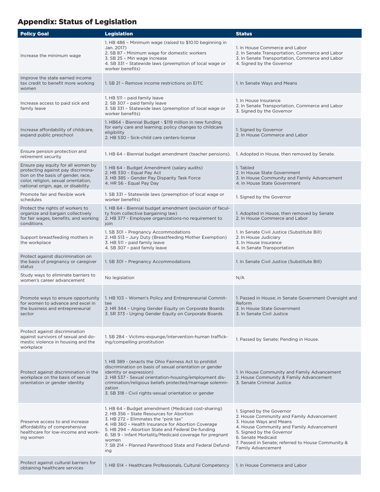# Appendix: Status of Legislation

| <b>Policy Goal</b>                                                                                                                                                                            | <b>Legislation</b>                                                                                                                                                                                                                                                                                                                                                                           | <b>Status</b>                                                                                                                                                                                                                                                                 |
|-----------------------------------------------------------------------------------------------------------------------------------------------------------------------------------------------|----------------------------------------------------------------------------------------------------------------------------------------------------------------------------------------------------------------------------------------------------------------------------------------------------------------------------------------------------------------------------------------------|-------------------------------------------------------------------------------------------------------------------------------------------------------------------------------------------------------------------------------------------------------------------------------|
| Increase the minimum wage                                                                                                                                                                     | 1. HB 486 - Minimum wage (raised to \$10.10 beginning in<br>Jan. 2017)<br>2. SB 87 - Minimum wage for domestic workers<br>3. SB 25 - Min wage increase<br>4. SB 331 - Statewide laws (preemption of local wage or<br>worker benefits)                                                                                                                                                        | 1. In House Commerce and Labor<br>2. In Senate Transportation, Commerce and Labor<br>3. In Senate Transportation, Commerce and Labor<br>4. Signed by the Governor                                                                                                             |
| Improve the state earned income<br>tax credit to benefit more working<br>women                                                                                                                | 1. SB 21 - Remove income restrictions on EITC                                                                                                                                                                                                                                                                                                                                                | 1. In Senate Ways and Means                                                                                                                                                                                                                                                   |
| Increase access to paid sick and<br>family leave                                                                                                                                              | 1. HB 511 - paid family leave<br>2. SB 307 - paid family leave<br>3. SB 331 - Statewide laws (preemption of local wage or<br>worker benefits)                                                                                                                                                                                                                                                | 1. In House Insurance<br>2. In Senate Transportation, Commerce and Labor<br>3. Signed by the Governor                                                                                                                                                                         |
| Increase affordability of childcare,<br>expand public preschool                                                                                                                               | 1. HB64 - Biennial Budget - \$119 million in new funding<br>for early care and learning; policy changes to childcare<br>eligibility<br>2. HB 530 - Sick-child care centers-license                                                                                                                                                                                                           | 1. Signed by Governor<br>2. In House Commerce and Labor                                                                                                                                                                                                                       |
| Ensure pension protection and<br>retirement security                                                                                                                                          | 1. HB 64 - Biennial budget amendment (teacher pensions). 1. Adopted in House, then removed by Senate.                                                                                                                                                                                                                                                                                        |                                                                                                                                                                                                                                                                               |
| Ensure pay equity for all women by<br>protecting against pay discrimina-<br>tion on the basis of gender, race,<br>color, religion, sexual orientation,<br>national origin, age, or disability | 1. HB 64 - Budget Amendment (salary audits)<br>2. HB 330 - Equal Pay Act<br>3. HB 385 - Gender Pay Disparity Task Force<br>4. HR 56 - Equal Pay Day                                                                                                                                                                                                                                          | 1. Tabled<br>2. In House State Government<br>3. In House Community and Family Advancement<br>4. In House State Government                                                                                                                                                     |
| Promote fair and flexible work<br>schedules                                                                                                                                                   | 1. SB 331 - Statewide laws (preemption of local wage or<br>worker benefits)                                                                                                                                                                                                                                                                                                                  | 1. Signed by the Governor                                                                                                                                                                                                                                                     |
| Protect the rights of workers to<br>organize and bargain collectively<br>for fair wages, benefits, and working<br>conditions                                                                  | 1. HB 64 - Biennial budget amendment (exclusion of facul-<br>ty from collective bargaining law)<br>2. HB 377 - Employee organizations-no requirement to<br>join                                                                                                                                                                                                                              | 1. Adopted in House, then removed by Senate<br>2. In House Commerce and Labor                                                                                                                                                                                                 |
| Support breastfeeding mothers in<br>the workplace                                                                                                                                             | 1. SB 301 - Pregnancy Accommodations<br>2. HB 513 - Jury Duty (Breastfeeding Mother Exemption)<br>3. HB 511 - paid family leave<br>4. SB 307 - paid family leave                                                                                                                                                                                                                             | 1. In Senate Civil Justice (Substitute Bill)<br>2. In House Judiciary<br>3. In House Insurance<br>4. In Senate Transportation                                                                                                                                                 |
| Protect against discrimination on<br>the basis of pregnancy or caregiver<br>status                                                                                                            | 1. SB 301 - Pregnancy Accommodations                                                                                                                                                                                                                                                                                                                                                         | 1. In Senate Civil Justice (Substitute Bill)                                                                                                                                                                                                                                  |
| Study ways to eliminate barriers to<br>women's career advancement                                                                                                                             | No legislation                                                                                                                                                                                                                                                                                                                                                                               | N/A                                                                                                                                                                                                                                                                           |
| Promote ways to ensure opportunity<br>for women to advance and excel in<br>the business and entrepreneurial<br>sector                                                                         | 1. HB 103 - Women's Policy and Entrepreneurial Commit-<br>tee<br>2. HR 344 - Urging Gender Equity on Corporate Boards<br>3. SR 373 - Urging Gender Equity on Corporate Boards                                                                                                                                                                                                                | 1. Passed in House; in Senate Government Oversight and<br>Reform<br>2. In House State Government<br>3. In Senate Civil Justice                                                                                                                                                |
| Protect against discrimination<br>against survivors of sexual and do-<br>mestic violence in housing and the<br>workplace                                                                      | 1. SB 284 - Victims-expunge/intervention-human traffick-<br>ing/compelling prostitution                                                                                                                                                                                                                                                                                                      | 1. Passed by Senate; Pending in House.                                                                                                                                                                                                                                        |
| Protect against discrimination in the<br>workplace on the basis of sexual<br>orientation or gender identity                                                                                   | 1. HB 389 - (enacts the Ohio Fairness Act to prohibit<br>discrimination on basis of sexual orientation or gender<br>identity or expression)<br>2. HB 537 - Sexual orientation-housing/employment dis-<br>crimination/religious beliefs protected/marriage solemni-<br>zation<br>3. SB 318 - Civil rights-sexual orientation or gender                                                        | 1. In House Community and Family Advancement<br>2. House Community & Family Advancement<br>3. Senate Criminal Justice                                                                                                                                                         |
| Preserve access to and increase<br>affordability of comprehensive<br>healthcare for low-income and work-<br>ing women                                                                         | 1. HB 64 - Budget amendment (Medicaid cost-sharing)<br>2. HB 356 - State Resources for Abortion<br>3. HB 272 - Eliminates the "pink tax"<br>4. HB 360 - Health Insurance for Abortion Coverage<br>5. HB 294 - Abortion State and Federal De-funding<br>6. SB 9 - Infant Mortality/Medicaid coverage for pregnant<br>women<br>7. SB 214 - Planned Parenthood State and Federal Defund-<br>ing | 1. Signed by the Governor<br>2. House Community and Family Advancement<br>3. House Ways and Means<br>4. House Community and Family Advancement<br>5. Signed by the Governor<br>6. Senate Medicaid<br>7. Passed in Senate; referred to House Community &<br>Family Advancement |
| Protect against cultural barriers for<br>obtaining healthcare services                                                                                                                        | 1. HB 514 - Healthcare Professionals, Cultural Competency                                                                                                                                                                                                                                                                                                                                    | 1. In House Commerce and Labor                                                                                                                                                                                                                                                |